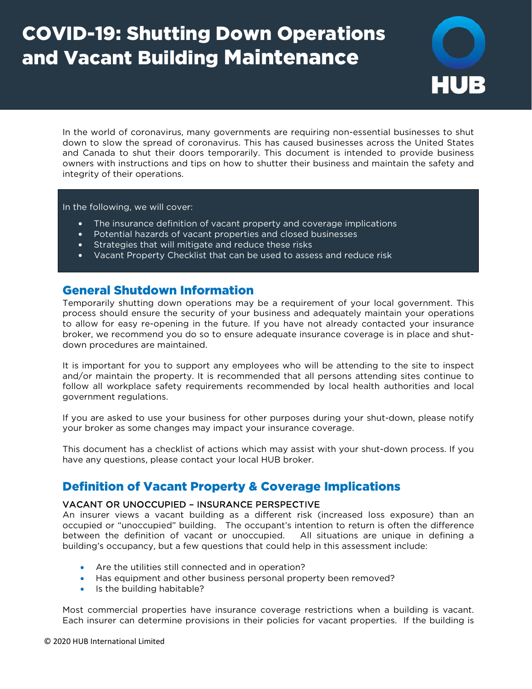# COVID-19: Shutting Down Operations and Vacant Building Maintenance



In the world of coronavirus, many governments are requiring non-essential businesses to shut down to slow the spread of coronavirus. This has caused businesses across the United States and Canada to shut their doors temporarily. This document is intended to provide business owners with instructions and tips on how to shutter their business and maintain the safety and integrity of their operations.

In the following, we will cover:

- **•** The insurance definition of vacant property and coverage implications
- **•** Potential hazards of vacant properties and closed businesses
- **•** Strategies that will mitigate and reduce these risks
- **•** Vacant Property Checklist that can be used to assess and reduce risk

### General Shutdown Information

Temporarily shutting down operations may be a requirement of your local government. This process should ensure the security of your business and adequately maintain your operations to allow for easy re-opening in the future. If you have not already contacted your insurance broker, we recommend you do so to ensure adequate insurance coverage is in place and shutdown procedures are maintained.

It is important for you to support any employees who will be attending to the site to inspect and/or maintain the property. It is recommended that all persons attending sites continue to follow all workplace safety requirements recommended by local health authorities and local government regulations.

If you are asked to use your business for other purposes during your shut-down, please notify your broker as some changes may impact your insurance coverage.

This document has a checklist of actions which may assist with your shut-down process. If you have any questions, please contact your local HUB broker.

## Definition of Vacant Property & Coverage Implications

#### VACANT OR UNOCCUPIED – INSURANCE PERSPECTIVE

An insurer views a vacant building as a different risk (increased loss exposure) than an occupied or "unoccupied" building. The occupant's intention to return is often the difference between the definition of vacant or unoccupied. All situations are unique in defining a building's occupancy, but a few questions that could help in this assessment include:

- Are the utilities still connected and in operation?
- Has equipment and other business personal property been removed?
- Is the building habitable?

Most commercial properties have insurance coverage restrictions when a building is vacant. Each insurer can determine provisions in their policies for vacant properties. If the building is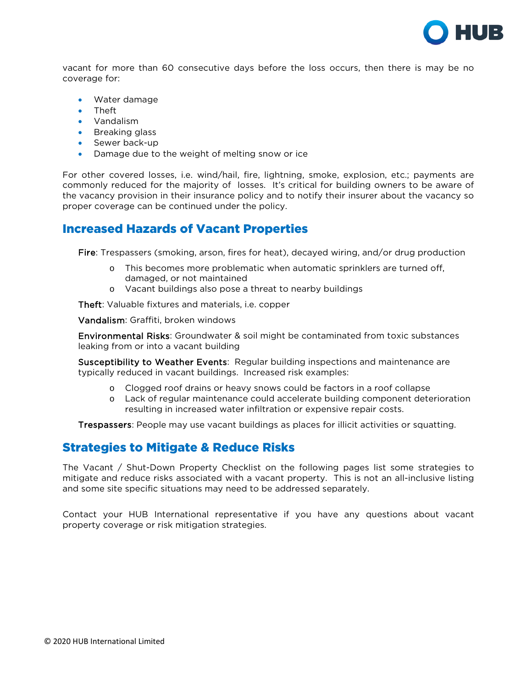

vacant for more than 60 consecutive days before the loss occurs, then there is may be no coverage for:

- Water damage
- Theft
- Vandalism
- Breaking glass
- Sewer back-up
- Damage due to the weight of melting snow or ice

For other covered losses, i.e. wind/hail, fire, lightning, smoke, explosion, etc.; payments are commonly reduced for the majority of losses. It's critical for building owners to be aware of the vacancy provision in their insurance policy and to notify their insurer about the vacancy so proper coverage can be continued under the policy.

## Increased Hazards of Vacant Properties

Fire: Trespassers (smoking, arson, fires for heat), decayed wiring, and/or drug production

- o This becomes more problematic when automatic sprinklers are turned off, damaged, or not maintained
- o Vacant buildings also pose a threat to nearby buildings

Theft: Valuable fixtures and materials, i.e. copper

Vandalism: Graffiti, broken windows

Environmental Risks: Groundwater & soil might be contaminated from toxic substances leaking from or into a vacant building

Susceptibility to Weather Events: Regular building inspections and maintenance are typically reduced in vacant buildings. Increased risk examples:

- o Clogged roof drains or heavy snows could be factors in a roof collapse
- o Lack of regular maintenance could accelerate building component deterioration resulting in increased water infiltration or expensive repair costs.

Trespassers: People may use vacant buildings as places for illicit activities or squatting.

## Strategies to Mitigate & Reduce Risks

The Vacant / Shut-Down Property Checklist on the following pages list some strategies to mitigate and reduce risks associated with a vacant property. This is not an all-inclusive listing and some site specific situations may need to be addressed separately.

Contact your HUB International representative if you have any questions about vacant property coverage or risk mitigation strategies.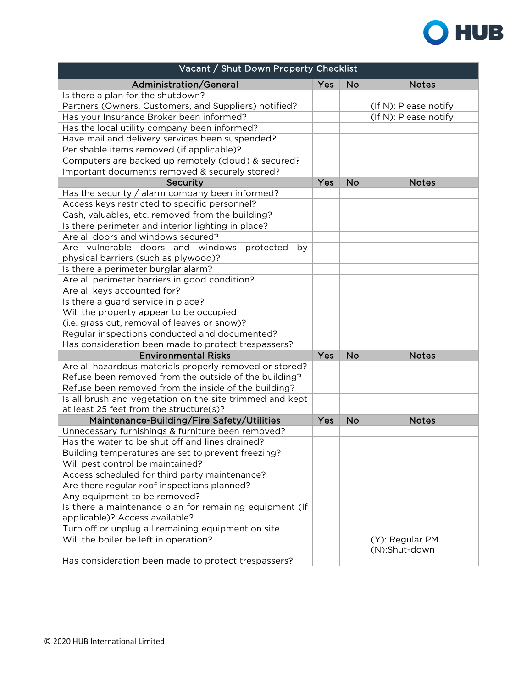

| Vacant / Shut Down Property Checklist                                                     |     |           |                       |  |
|-------------------------------------------------------------------------------------------|-----|-----------|-----------------------|--|
| Administration/General                                                                    | Yes | <b>No</b> | <b>Notes</b>          |  |
| Is there a plan for the shutdown?                                                         |     |           |                       |  |
| Partners (Owners, Customers, and Suppliers) notified?                                     |     |           | (If N): Please notify |  |
| Has your Insurance Broker been informed?                                                  |     |           | (If N): Please notify |  |
| Has the local utility company been informed?                                              |     |           |                       |  |
| Have mail and delivery services been suspended?                                           |     |           |                       |  |
| Perishable items removed (if applicable)?                                                 |     |           |                       |  |
| Computers are backed up remotely (cloud) & secured?                                       |     |           |                       |  |
| Important documents removed & securely stored?                                            |     |           |                       |  |
| Security                                                                                  | Yes | <b>No</b> | <b>Notes</b>          |  |
| Has the security / alarm company been informed?                                           |     |           |                       |  |
| Access keys restricted to specific personnel?                                             |     |           |                       |  |
| Cash, valuables, etc. removed from the building?                                          |     |           |                       |  |
| Is there perimeter and interior lighting in place?                                        |     |           |                       |  |
| Are all doors and windows secured?                                                        |     |           |                       |  |
| Are vulnerable doors and windows protected<br>by                                          |     |           |                       |  |
| physical barriers (such as plywood)?                                                      |     |           |                       |  |
| Is there a perimeter burglar alarm?                                                       |     |           |                       |  |
| Are all perimeter barriers in good condition?                                             |     |           |                       |  |
| Are all keys accounted for?                                                               |     |           |                       |  |
| Is there a guard service in place?                                                        |     |           |                       |  |
| Will the property appear to be occupied                                                   |     |           |                       |  |
| (i.e. grass cut, removal of leaves or snow)?                                              |     |           |                       |  |
| Regular inspections conducted and documented?                                             |     |           |                       |  |
| Has consideration been made to protect trespassers?                                       |     |           |                       |  |
| <b>Environmental Risks</b>                                                                | Yes | <b>No</b> | <b>Notes</b>          |  |
| Are all hazardous materials properly removed or stored?                                   |     |           |                       |  |
| Refuse been removed from the outside of the building?                                     |     |           |                       |  |
| Refuse been removed from the inside of the building?                                      |     |           |                       |  |
| Is all brush and vegetation on the site trimmed and kept                                  |     |           |                       |  |
| at least 25 feet from the structure(s)?                                                   |     |           |                       |  |
| Maintenance-Building/Fire Safety/Utilities                                                | Yes | <b>No</b> | <b>Notes</b>          |  |
| Unnecessary furnishings & furniture been removed?                                         |     |           |                       |  |
| Has the water to be shut off and lines drained?                                           |     |           |                       |  |
| Building temperatures are set to prevent freezing?                                        |     |           |                       |  |
| Will pest control be maintained?                                                          |     |           |                       |  |
| Access scheduled for third party maintenance?                                             |     |           |                       |  |
| Are there regular roof inspections planned?                                               |     |           |                       |  |
| Any equipment to be removed?                                                              |     |           |                       |  |
| Is there a maintenance plan for remaining equipment (If<br>applicable)? Access available? |     |           |                       |  |
| Turn off or unplug all remaining equipment on site                                        |     |           |                       |  |
| Will the boiler be left in operation?                                                     |     |           | (Y): Regular PM       |  |
|                                                                                           |     |           | (N):Shut-down         |  |
| Has consideration been made to protect trespassers?                                       |     |           |                       |  |